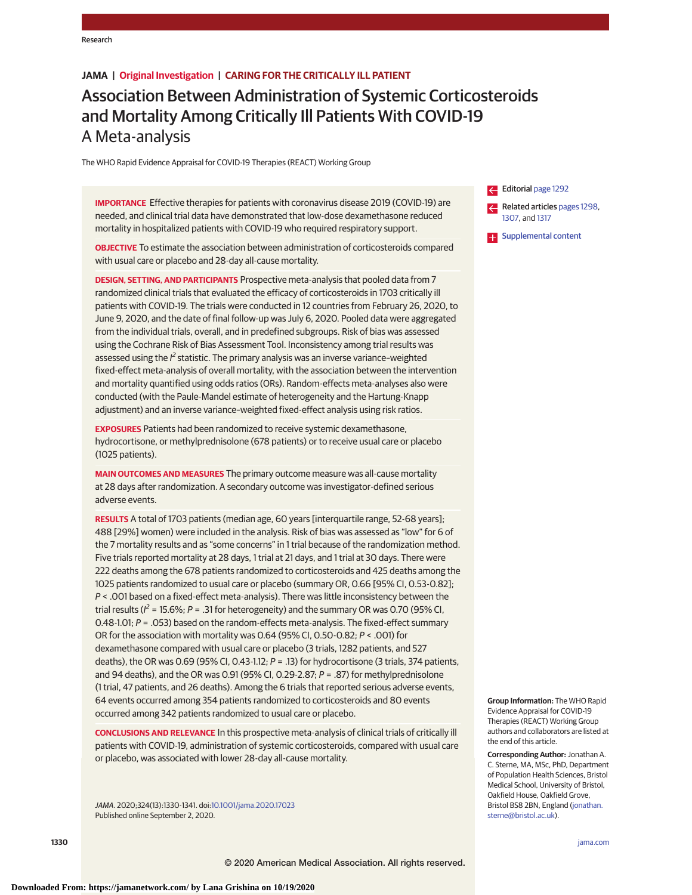## **JAMA | Original Investigation | CARING FOR THE CRITICALLY ILL PATIENT**

# Association Between Administration of Systemic Corticosteroids and Mortality Among Critically Ill Patients With COVID-19 A Meta-analysis

The WHO Rapid Evidence Appraisal for COVID-19 Therapies (REACT) Working Group

**IMPORTANCE** Effective therapies for patients with coronavirus disease 2019 (COVID-19) are needed, and clinical trial data have demonstrated that low-dose dexamethasone reduced mortality in hospitalized patients with COVID-19 who required respiratory support.

**OBJECTIVE** To estimate the association between administration of corticosteroids compared with usual care or placebo and 28-day all-cause mortality.

**DESIGN, SETTING, AND PARTICIPANTS** Prospective meta-analysis that pooled data from 7 randomized clinical trials that evaluated the efficacy of corticosteroids in 1703 critically ill patients with COVID-19. The trials were conducted in 12 countries from February 26, 2020, to June 9, 2020, and the date of final follow-up was July 6, 2020. Pooled data were aggregated from the individual trials, overall, and in predefined subgroups. Risk of bias was assessed using the Cochrane Risk of Bias Assessment Tool. Inconsistency among trial results was assessed using the  $l^2$  statistic. The primary analysis was an inverse variance-weighted fixed-effect meta-analysis of overall mortality, with the association between the intervention and mortality quantified using odds ratios (ORs). Random-effects meta-analyses also were conducted (with the Paule-Mandel estimate of heterogeneity and the Hartung-Knapp adjustment) and an inverse variance–weighted fixed-effect analysis using risk ratios.

**EXPOSURES** Patients had been randomized to receive systemic dexamethasone, hydrocortisone, or methylprednisolone (678 patients) or to receive usual care or placebo (1025 patients).

**MAIN OUTCOMES AND MEASURES** The primary outcome measure was all-cause mortality at 28 days after randomization. A secondary outcome was investigator-defined serious adverse events.

**RESULTS** A total of 1703 patients (median age, 60 years [interquartile range, 52-68 years]; 488 [29%] women) were included in the analysis. Risk of bias was assessed as "low" for 6 of the 7 mortality results and as "some concerns" in 1 trial because of the randomization method. Five trials reported mortality at 28 days, 1 trial at 21 days, and 1 trial at 30 days. There were 222 deaths among the 678 patients randomized to corticosteroids and 425 deaths among the 1025 patients randomized to usual care or placebo (summary OR, 0.66 [95% CI, 0.53-0.82]; P < .001 based on a fixed-effect meta-analysis). There was little inconsistency between the trial results ( $l^2$  = 15.6%; P = .31 for heterogeneity) and the summary OR was 0.70 (95% CI, 0.48-1.01;  $P = 0.053$ ) based on the random-effects meta-analysis. The fixed-effect summary OR for the association with mortality was 0.64 (95% CI, 0.50-0.82; P < .001) for dexamethasone compared with usual care or placebo (3 trials, 1282 patients, and 527 deaths), the OR was 0.69 (95% CI, 0.43-1.12;  $P = .13$ ) for hydrocortisone (3 trials, 374 patients, and 94 deaths), and the OR was 0.91 (95% CI, 0.29-2.87;  $P = .87$ ) for methylprednisolone (1 trial, 47 patients, and 26 deaths). Among the 6 trials that reported serious adverse events, 64 events occurred among 354 patients randomized to corticosteroids and 80 events occurred among 342 patients randomized to usual care or placebo.

**CONCLUSIONS AND RELEVANCE** In this prospective meta-analysis of clinical trials of critically ill patients with COVID-19, administration of systemic corticosteroids, compared with usual care or placebo, was associated with lower 28-day all-cause mortality.

JAMA. 2020;324(13):1330-1341. doi[:10.1001/jama.2020.17023](https://jamanetwork.com/journals/jama/fullarticle/10.1001/jama.2020.17023?utm_campaign=articlePDF%26utm_medium=articlePDFlink%26utm_source=articlePDF%26utm_content=jama.2020.17023) Published online September 2, 2020.

Editorial [page 1292](https://jamanetwork.com/journals/jama/fullarticle/10.1001/jama.2020.16747?utm_campaign=articlePDF%26utm_medium=articlePDFlink%26utm_source=articlePDF%26utm_content=jama.2020.17023)

Related articles [pages 1298,](https://jamanetwork.com/journals/jama/fullarticle/10.1001/jama.2020.16761?utm_campaign=articlePDF%26utm_medium=articlePDFlink%26utm_source=articlePDF%26utm_content=jama.2020.17023) [1307,](https://jamanetwork.com/journals/jama/fullarticle/10.1001/jama.2020.17021?utm_campaign=articlePDF%26utm_medium=articlePDFlink%26utm_source=articlePDF%26utm_content=jama.2020.17023) and [1317](https://jamanetwork.com/journals/jama/fullarticle/10.1001/jama.2020.17022?utm_campaign=articlePDF%26utm_medium=articlePDFlink%26utm_source=articlePDF%26utm_content=jama.2020.17023)

**Examplemental content** 

**Group Information:** The WHO Rapid Evidence Appraisal for COVID-19 Therapies (REACT) Working Group authors and collaborators are listed at the end of this article.

**Corresponding Author:** Jonathan A. C. Sterne, MA, MSc, PhD, Department of Population Health Sciences, Bristol Medical School, University of Bristol, Oakfield House, Oakfield Grove, Bristol BS8 2BN, England [\(jonathan.](mailto:jonathan.sterne@bristol.ac.uk) [sterne@bristol.ac.uk\)](mailto:jonathan.sterne@bristol.ac.uk).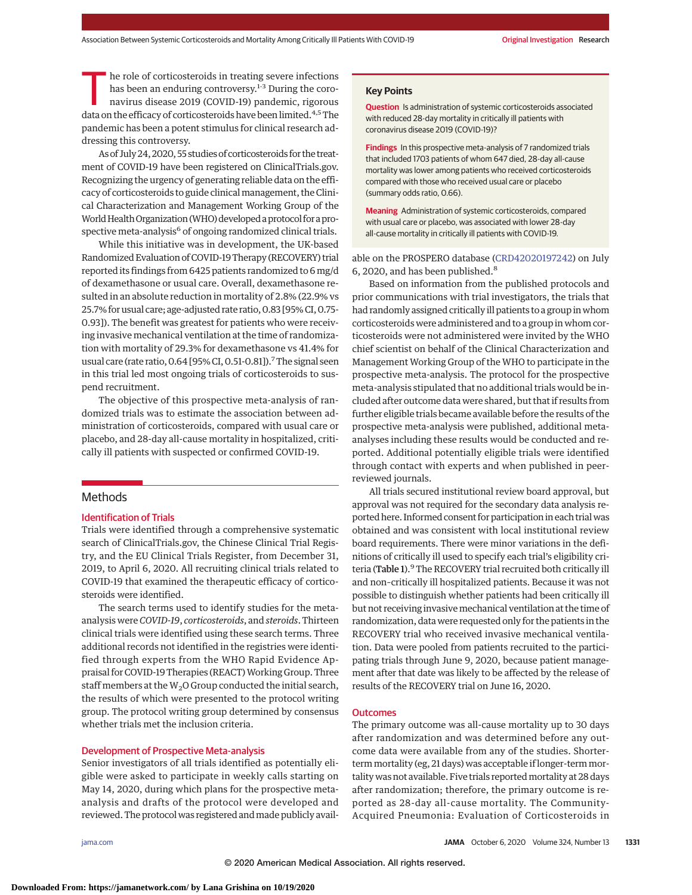he role of corticosteroids in treating severe infections<br>has been an enduring controversy.<sup>1-3</sup> During the coro-<br>navirus disease 2019 (COVID-19) pandemic, rigorous<br>data on the officer veforticosteroids have been limited <sup>4</sup> has been an enduring controversy. $1-3$  During the corodata on the efficacy of corticosteroids have been limited.<sup>4,5</sup>The pandemic has been a potent stimulus for clinical research addressing this controversy.

As of July 24, 2020, 55 studies of corticosteroids for the treatment of COVID-19 have been registered on ClinicalTrials.gov. Recognizing the urgency of generating reliable data on the efficacy of corticosteroids to guide clinicalmanagement, the Clinical Characterization and Management Working Group of the World Health Organization (WHO) developed a protocol for a prospective meta-analysis<sup>6</sup> of ongoing randomized clinical trials.

While this initiative was in development, the UK-based Randomized Evaluation of COVID-19 Therapy (RECOVERY) trial reported its findings from 6425 patients randomized to 6mg/d of dexamethasone or usual care. Overall, dexamethasone resulted in an absolute reduction in mortality of 2.8% (22.9% vs 25.7% for usual care; age-adjusted rate ratio, 0.83 [95% CI, 0.75- 0.93]). The benefit was greatest for patients who were receiving invasive mechanical ventilation at the time of randomization with mortality of 29.3% for dexamethasone vs 41.4% for usual care (rate ratio,  $0.64$  [95% CI, 0.51-0.81]).<sup>7</sup> The signal seen in this trial led most ongoing trials of corticosteroids to suspend recruitment.

The objective of this prospective meta-analysis of randomized trials was to estimate the association between administration of corticosteroids, compared with usual care or placebo, and 28-day all-cause mortality in hospitalized, critically ill patients with suspected or confirmed COVID-19.

## Methods

## Identification of Trials

Trials were identified through a comprehensive systematic search of ClinicalTrials.gov, the Chinese Clinical Trial Registry, and the EU Clinical Trials Register, from December 31, 2019, to April 6, 2020. All recruiting clinical trials related to COVID-19 that examined the therapeutic efficacy of corticosteroids were identified.

The search terms used to identify studies for the metaanalysis were *COVID-19*, *corticosteroids*, and *steroids*. Thirteen clinical trials were identified using these search terms. Three additional records not identified in the registries were identified through experts from the WHO Rapid Evidence Appraisal for COVID-19 Therapies (REACT) Working Group. Three staff members at the  $W<sub>2</sub>O$  Group conducted the initial search, the results of which were presented to the protocol writing group. The protocol writing group determined by consensus whether trials met the inclusion criteria.

#### Development of Prospective Meta-analysis

Senior investigators of all trials identified as potentially eligible were asked to participate in weekly calls starting on May 14, 2020, during which plans for the prospective metaanalysis and drafts of the protocol were developed and reviewed. The protocol was registered and made publicly avail**Key Points**

**Question** Is administration of systemic corticosteroids associated with reduced 28-day mortality in critically ill patients with coronavirus disease 2019 (COVID-19)?

**Findings** In this prospective meta-analysis of 7 randomized trials that included 1703 patients of whom 647 died, 28-day all-cause mortality was lower among patients who received corticosteroids compared with those who received usual care or placebo (summary odds ratio, 0.66).

**Meaning** Administration of systemic corticosteroids, compared with usual care or placebo, was associated with lower 28-day all-cause mortality in critically ill patients with COVID-19.

able on the PROSPERO database [\(CRD42020197242\)](https://www.crd.york.ac.uk/prospero/display_record.php?RecordID=197242) on July 6, 2020, and has been published.<sup>8</sup>

Based on information from the published protocols and prior communications with trial investigators, the trials that had randomly assigned critically ill patients to a group in whom corticosteroids were administered and to a group in whom corticosteroids were not administered were invited by the WHO chief scientist on behalf of the Clinical Characterization and Management Working Group of the WHO to participate in the prospective meta-analysis. The protocol for the prospective meta-analysis stipulated that no additional trials would be included after outcome data were shared, but that if results from further eligible trials became available before the results of the prospective meta-analysis were published, additional metaanalyses including these results would be conducted and reported. Additional potentially eligible trials were identified through contact with experts and when published in peerreviewed journals.

All trials secured institutional review board approval, but approval was not required for the secondary data analysis reported here. Informed consent for participation in each trialwas obtained and was consistent with local institutional review board requirements. There were minor variations in the definitions of critically ill used to specify each trial's eligibility criteria (Table 1).<sup>9</sup> The RECOVERY trial recruited both critically ill and non–critically ill hospitalized patients. Because it was not possible to distinguish whether patients had been critically ill but not receiving invasive mechanical ventilation at the time of randomization, data were requested only for the patients in the RECOVERY trial who received invasive mechanical ventilation. Data were pooled from patients recruited to the participating trials through June 9, 2020, because patient management after that date was likely to be affected by the release of results of the RECOVERY trial on June 16, 2020.

#### **Outcomes**

The primary outcome was all-cause mortality up to 30 days after randomization and was determined before any outcome data were available from any of the studies. Shortertermmortality (eg, 21 days) was acceptable if longer-termmortality was not available. Five trials reportedmortality at 28 days after randomization; therefore, the primary outcome is reported as 28-day all-cause mortality. The Community-Acquired Pneumonia: Evaluation of Corticosteroids in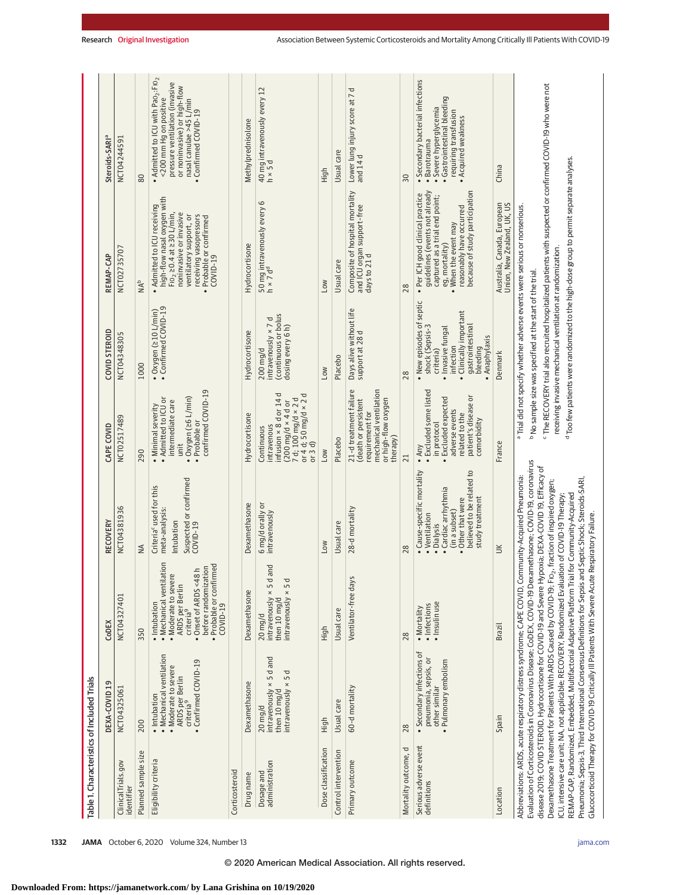| Table 1. Characteristics of Included Trials |                                                                                                                                                                                                                                                                                                                                                                                                                                                                                                                                                                                                                                                                                                                                                                                                                                                                              |                                                                                                                                                                                                                 |                                                                                                                                                                       |                                                                                                                                                                                           |                                                                                                                                                                   |                                                                                                                                                                                                                                                                                                         |                                                                                                                                                                                                 |
|---------------------------------------------|------------------------------------------------------------------------------------------------------------------------------------------------------------------------------------------------------------------------------------------------------------------------------------------------------------------------------------------------------------------------------------------------------------------------------------------------------------------------------------------------------------------------------------------------------------------------------------------------------------------------------------------------------------------------------------------------------------------------------------------------------------------------------------------------------------------------------------------------------------------------------|-----------------------------------------------------------------------------------------------------------------------------------------------------------------------------------------------------------------|-----------------------------------------------------------------------------------------------------------------------------------------------------------------------|-------------------------------------------------------------------------------------------------------------------------------------------------------------------------------------------|-------------------------------------------------------------------------------------------------------------------------------------------------------------------|---------------------------------------------------------------------------------------------------------------------------------------------------------------------------------------------------------------------------------------------------------------------------------------------------------|-------------------------------------------------------------------------------------------------------------------------------------------------------------------------------------------------|
|                                             | DEXA-COVID 19                                                                                                                                                                                                                                                                                                                                                                                                                                                                                                                                                                                                                                                                                                                                                                                                                                                                | CoDEX                                                                                                                                                                                                           | RECOVERY                                                                                                                                                              | CAPE COVID                                                                                                                                                                                | COVID STEROID                                                                                                                                                     | REMAP-CAP                                                                                                                                                                                                                                                                                               | Steroids-SARI <sup>a</sup>                                                                                                                                                                      |
| ClinicalTrials.gov<br>identifier            | NCT04325061                                                                                                                                                                                                                                                                                                                                                                                                                                                                                                                                                                                                                                                                                                                                                                                                                                                                  | NCT04327401                                                                                                                                                                                                     | NCT04381936                                                                                                                                                           | NCT02517489                                                                                                                                                                               | NCT04348305                                                                                                                                                       | NCT02735707                                                                                                                                                                                                                                                                                             | NCT04244591                                                                                                                                                                                     |
| Planned sample size                         | 200                                                                                                                                                                                                                                                                                                                                                                                                                                                                                                                                                                                                                                                                                                                                                                                                                                                                          | 350                                                                                                                                                                                                             | $\frac{4}{2}$                                                                                                                                                         | 290                                                                                                                                                                                       | 1000                                                                                                                                                              | NA <sup>b</sup>                                                                                                                                                                                                                                                                                         | 80                                                                                                                                                                                              |
| Eligibility criteria                        | • Mechanical ventilation<br>• Confirmed COVID-19<br>· Moderate to severe<br>ARDS per Berlin<br>criteria <sup>9</sup><br>• Intubation                                                                                                                                                                                                                                                                                                                                                                                                                                                                                                                                                                                                                                                                                                                                         | • Mechanical ventilation<br>· Probable or confirmed<br>before randomization<br>$\,$ $\,$<br>· Moderate to severe<br>• Onset of ARDS <48<br>ARDS per Berlin<br>criteria <sup>9</sup><br>• Intubation<br>COVID-19 | Suspected or confirmed<br>Criteria <sup>c</sup> used for this<br>meta-analysis:<br>Intubation<br><b>COVID-19</b>                                                      | confirmed COVID-19<br>Oxygen $(26 L/min)$<br>Admitted to ICU or<br>intermediate care<br>• Minimal severity<br>· Probable or<br>unit<br>$\bullet$<br>$\bullet$                             | $\bullet$ Oxygen (210 L/min)<br>$\bullet$ Confirmed COVID-19                                                                                                      | high-flow nasal oxygen with<br>Admitted to ICU receiving<br>$F10_2 \ge 0.4$ at $\ge 30$ L/min,<br>noninvasive or invasive<br>ventilatory support, or<br>receiving vasopressors<br>Probable or confirmed<br>COVID-19<br>$\bullet$                                                                        | • Admitted to ICU with Pao <sub>2</sub> : $F102$<br>pressure ventilation (invasive<br>or noninvasive) or high-flow<br><200 mm Hg on positive<br>nasal canulae >45 L/min<br>• Confirmed COVID-19 |
| Corticosteroid                              |                                                                                                                                                                                                                                                                                                                                                                                                                                                                                                                                                                                                                                                                                                                                                                                                                                                                              |                                                                                                                                                                                                                 |                                                                                                                                                                       |                                                                                                                                                                                           |                                                                                                                                                                   |                                                                                                                                                                                                                                                                                                         |                                                                                                                                                                                                 |
| Drug name                                   | Dexamethasone                                                                                                                                                                                                                                                                                                                                                                                                                                                                                                                                                                                                                                                                                                                                                                                                                                                                | Dexamethasone                                                                                                                                                                                                   | Dexamethasone                                                                                                                                                         | Hydrocortisone                                                                                                                                                                            | Hydrocortisone                                                                                                                                                    | Hydrocortisone                                                                                                                                                                                                                                                                                          | Methylprednisolone                                                                                                                                                                              |
| administration<br>Dosage and                | 5 d and<br>Δ<br>$intravenously \times 5$<br>intravenously ×<br>then 10 mg/d<br>$20$ mg/d                                                                                                                                                                                                                                                                                                                                                                                                                                                                                                                                                                                                                                                                                                                                                                                     | and<br>intravenously × 5 d<br>P<br>5<br>intravenously ×<br>then 10 mg/d<br>$20$ mg/d                                                                                                                            | 6 mg/d orally or<br>intravenously                                                                                                                                     | ರ<br>or 4 d; 50 mg/d $\times$ 2 d<br>$7$ d; $100$ mg/d $\times$ 2 d<br>infusion $\times$ 8 d or 14<br>$(200 \text{ mg/d} \times 4 \text{ d or}$<br>intravenous<br>Continuous<br>or $3$ d) | (continuous or bolus<br>intravenously × 7 d<br>dosing every 6 h)<br>$200$ mg/d                                                                                    | 50 mg intravenously every 6<br>h × 7 d <sup>d</sup>                                                                                                                                                                                                                                                     | 40 mg intravenously every 12<br>h × 5 d                                                                                                                                                         |
| Dose classification                         | -<br>High                                                                                                                                                                                                                                                                                                                                                                                                                                                                                                                                                                                                                                                                                                                                                                                                                                                                    | High                                                                                                                                                                                                            | Mo7                                                                                                                                                                   | Low                                                                                                                                                                                       | Low                                                                                                                                                               | Low                                                                                                                                                                                                                                                                                                     | Figh                                                                                                                                                                                            |
| Control intervention                        | Usual care                                                                                                                                                                                                                                                                                                                                                                                                                                                                                                                                                                                                                                                                                                                                                                                                                                                                   | Usual care                                                                                                                                                                                                      | Usual care                                                                                                                                                            | Placebo                                                                                                                                                                                   | Placebo                                                                                                                                                           | Usual care                                                                                                                                                                                                                                                                                              | Usual care                                                                                                                                                                                      |
| Primary outcome                             | 60-d mortality                                                                                                                                                                                                                                                                                                                                                                                                                                                                                                                                                                                                                                                                                                                                                                                                                                                               | Ventilator-free days                                                                                                                                                                                            | 28-d mortality                                                                                                                                                        | 21-d treatment failure<br>mechanical ventilation<br>or high-flow oxygen<br>(death or persistent<br>requirement for<br>therapy)                                                            | Days alive without life<br>support at 28 d                                                                                                                        | Composite of hospital mortality<br>and ICU organ support-free<br>days to 21 d                                                                                                                                                                                                                           | Lower lung injury score at 7 d<br>and 14 d                                                                                                                                                      |
| Mortality outcome, d                        | 28                                                                                                                                                                                                                                                                                                                                                                                                                                                                                                                                                                                                                                                                                                                                                                                                                                                                           | 28                                                                                                                                                                                                              | 28                                                                                                                                                                    | 21                                                                                                                                                                                        | 28                                                                                                                                                                | 28                                                                                                                                                                                                                                                                                                      | 30                                                                                                                                                                                              |
| Serious adverse event<br>definitions        | • Secondary infections of<br>pneumonia, sepsis, or<br>Pulmonary embolism<br>other similar<br>$\bullet$                                                                                                                                                                                                                                                                                                                                                                                                                                                                                                                                                                                                                                                                                                                                                                       | · Insulinuse<br>· Infections<br>• Mortality                                                                                                                                                                     | · Cause-specific mortality<br>believed to be related to<br>· Cardiac arrhythmia<br>study treatment<br>Other that were<br>(in a subset)<br>• Ventilation<br>· Dialysis | Excluded some listed<br>patient's disease or<br>Excluded expected<br>adverse events<br>related to the<br>comorbidity<br>in protocol<br>$\bullet$ Any<br>$\bullet$                         | . New episodes of septic<br>Clinically important<br>shock (Sepsis-3<br>gastrointestinal<br>• Invasive fungal<br>Anaphylaxis<br>infection<br>bleeding<br>criteria) | because of study participation<br>guidelines (events not already<br>· Per ICH good clinical practice<br>captured as a trial end point;<br>reasonably have occurred<br>• When the event may<br>eg, mortality)                                                                                            | · Secondary bacterial infections<br>· Gastrointestinal bleeding<br>· Severe hyperglycemia<br>requiring transfusion<br>Acquired weakness<br>Barotrauma                                           |
| Location                                    | Spain                                                                                                                                                                                                                                                                                                                                                                                                                                                                                                                                                                                                                                                                                                                                                                                                                                                                        | <b>Brazil</b>                                                                                                                                                                                                   | š                                                                                                                                                                     | France                                                                                                                                                                                    | Denmark                                                                                                                                                           | Australia, Canada, European<br>Union, New Zealand, UK, US                                                                                                                                                                                                                                               | China                                                                                                                                                                                           |
|                                             | Evaluation of Corticosteroids in Coronavirus Disease; CoDEX, COVID-19 Dexamethasone; COVID-19, coronavirus<br>disease 2019; COVID STEROID, Hydrocortisone for COVID-19 and Severe Hypoxia; DEXA-COVID 19, Efficacy of<br>Abbreviations: ARDS, acute respiratory distress syndrome; CAPE COVID, Community-Acquired Pneumonia:<br>Pneumonia; Sepsis-3, Third International Consensus Definitions for Sepsis and Septic Shock; Steroids-SARI<br>Dexamethasone Treatment for Patients With ARDS Caused by COVID-19; FIO <sub>21</sub> fraction of inspired oxygen;<br>REMAP-CAP, Randomized, Embedded, Multifactorial Adaptive Platform Trial for Community-Acquired<br>ICU, intensive care unit; NA, not applicable; RECOVERY, Randomized Evaluation of COVID-19 Therapy;<br>Glucocorticoid Therapy for COVID-19 Critically III Patients With Severe Acute Respiratory Failure. |                                                                                                                                                                                                                 |                                                                                                                                                                       |                                                                                                                                                                                           | receiving invasive mechanical ventilation at randomization.<br><sup>b</sup> No sample size was specified at the start of the trial.                               | The RECOVERY trial also recruited hospitalized patients with suspected or confirmed COVID-19 who were not<br><sup>d</sup> Too few patients were randomized to the high-dose group to permit separate analyses.<br><sup>a</sup> Trial did not specify whether adverse events were serious or nonserious. |                                                                                                                                                                                                 |

© 2020 American Medical Association. All rights reserved.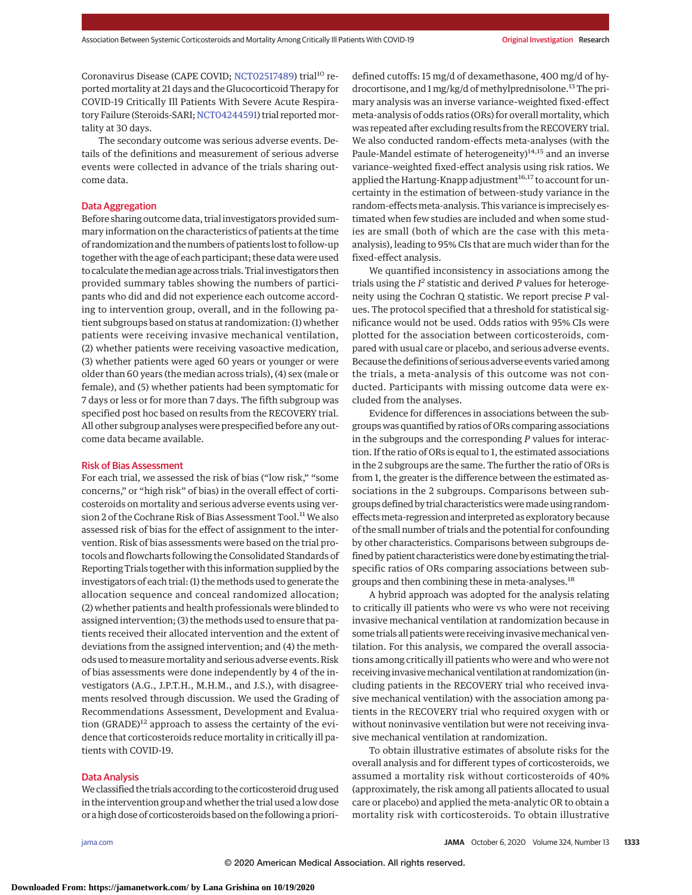Coronavirus Disease (CAPE COVID; [NCT02517489\)](https://clinicaltrials.gov/ct2/show/NCT02517489?id=NCT02517489&draw=2&rank=1) trial10 reported mortality at 21 days and the Glucocorticoid Therapy for COVID-19 Critically Ill Patients With Severe Acute Respira-tory Failure (Steroids-SARI; [NCT04244591\)](https://clinicaltrials.gov/ct2/show/NCT04244591?id=NCT04244591&draw=2&rank=1) trial reported mortality at 30 days.

The secondary outcome was serious adverse events. Details of the definitions and measurement of serious adverse events were collected in advance of the trials sharing outcome data.

### Data Aggregation

Before sharing outcome data, trial investigators provided summary information on the characteristics of patients at the time of randomization and the numbers of patients lost to follow-up together with the age of each participant; these data were used to calculate themedian age across trials. Trial investigators then provided summary tables showing the numbers of participants who did and did not experience each outcome according to intervention group, overall, and in the following patient subgroups based on status at randomization: (1) whether patients were receiving invasive mechanical ventilation, (2) whether patients were receiving vasoactive medication, (3) whether patients were aged 60 years or younger or were older than 60 years (the median across trials), (4) sex (male or female), and (5) whether patients had been symptomatic for 7 days or less or for more than 7 days. The fifth subgroup was specified post hoc based on results from the RECOVERY trial. All other subgroup analyses were prespecified before any outcome data became available.

#### Risk of Bias Assessment

For each trial, we assessed the risk of bias ("low risk," "some concerns," or "high risk" of bias) in the overall effect of corticosteroids on mortality and serious adverse events using version 2 of the Cochrane Risk of Bias Assessment Tool.<sup>11</sup> We also assessed risk of bias for the effect of assignment to the intervention. Risk of bias assessments were based on the trial protocols and flowcharts following the Consolidated Standards of Reporting Trials together with this information supplied by the investigators of each trial: (1) the methods used to generate the allocation sequence and conceal randomized allocation; (2) whether patients and health professionals were blinded to assigned intervention; (3) the methods used to ensure that patients received their allocated intervention and the extent of deviations from the assigned intervention; and (4) the methods used tomeasuremortality and serious adverse events. Risk of bias assessments were done independently by 4 of the investigators (A.G., J.P.T.H., M.H.M., and J.S.), with disagreements resolved through discussion. We used the Grading of Recommendations Assessment, Development and Evaluation (GRADE)<sup>12</sup> approach to assess the certainty of the evidence that corticosteroids reduce mortality in critically ill patients with COVID-19.

#### Data Analysis

We classified the trials according to the corticosteroid drug used in the intervention group and whether the trial used a low dose or a high dose of corticosteroids based on the following a priori–

defined cutoffs: 15 mg/d of dexamethasone, 400 mg/d of hydrocortisone, and 1 mg/kg/d of methylprednisolone.<sup>13</sup> The primary analysis was an inverse variance–weighted fixed-effect meta-analysis of odds ratios (ORs) for overall mortality, which was repeated after excluding results from the RECOVERY trial. We also conducted random-effects meta-analyses (with the Paule-Mandel estimate of heterogeneity)<sup>14,15</sup> and an inverse variance–weighted fixed-effect analysis using risk ratios. We applied the Hartung-Knapp adjustment<sup>16,17</sup> to account for uncertainty in the estimation of between-study variance in the random-effects meta-analysis. This variance is imprecisely estimated when few studies are included and when some studies are small (both of which are the case with this metaanalysis), leading to 95% CIs that are much wider than for the fixed-effect analysis.

We quantified inconsistency in associations among the trials using the *I <sup>2</sup>* statistic and derived *P* values for heterogeneity using the Cochran Q statistic. We report precise *P* values. The protocol specified that a threshold for statistical significance would not be used. Odds ratios with 95% CIs were plotted for the association between corticosteroids, compared with usual care or placebo, and serious adverse events. Because the definitions of serious adverse events varied among the trials, a meta-analysis of this outcome was not conducted. Participants with missing outcome data were excluded from the analyses.

Evidence for differences in associations between the subgroups was quantified by ratios of ORs comparing associations in the subgroups and the corresponding *P* values for interaction. If the ratio of ORs is equal to 1, the estimated associations in the 2 subgroups are the same. The further the ratio of ORs is from 1, the greater is the difference between the estimated associations in the 2 subgroups. Comparisons between subgroups defined by trial characteristics were made using randomeffectsmeta-regression and interpreted as exploratory because of the small number of trials and the potential for confounding by other characteristics. Comparisons between subgroups defined by patient characteristics were done by estimating the trialspecific ratios of ORs comparing associations between subgroups and then combining these in meta-analyses.18

A hybrid approach was adopted for the analysis relating to critically ill patients who were vs who were not receiving invasive mechanical ventilation at randomization because in some trials all patients were receiving invasive mechanical ventilation. For this analysis, we compared the overall associations among critically ill patients who were and who were not receiving invasive mechanical ventilation at randomization (including patients in the RECOVERY trial who received invasive mechanical ventilation) with the association among patients in the RECOVERY trial who required oxygen with or without noninvasive ventilation but were not receiving invasive mechanical ventilation at randomization.

To obtain illustrative estimates of absolute risks for the overall analysis and for different types of corticosteroids, we assumed a mortality risk without corticosteroids of 40% (approximately, the risk among all patients allocated to usual care or placebo) and applied the meta-analytic OR to obtain a mortality risk with corticosteroids. To obtain illustrative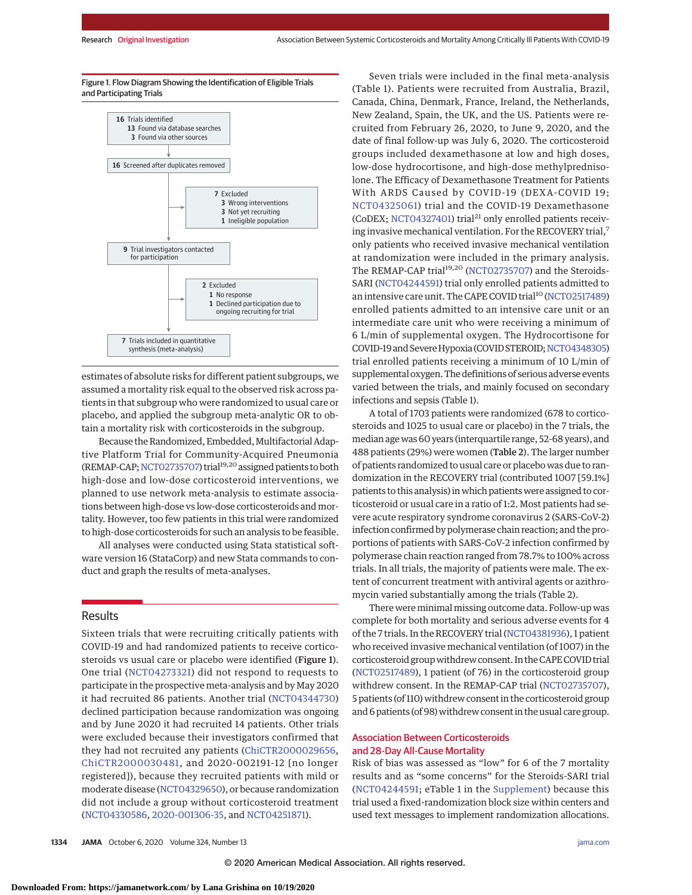

estimates of absolute risks for different patient subgroups, we assumed a mortality risk equal to the observed risk across patients in that subgroup who were randomized to usual care or placebo, and applied the subgroup meta-analytic OR to obtain a mortality risk with corticosteroids in the subgroup.

Because the Randomized, Embedded, Multifactorial Adaptive Platform Trial for Community-Acquired Pneumonia (REMAP-CAP; [NCT02735707\)](https://clinicaltrials.gov/ct2/show/NCT02735707?id=NCT02735707&draw=2&rank=1) trial<sup>19,20</sup> assigned patients to both high-dose and low-dose corticosteroid interventions, we planned to use network meta-analysis to estimate associations between high-dose vs low-dose corticosteroids and mortality. However, too few patients in this trial were randomized to high-dose corticosteroids for such an analysis to be feasible.

All analyses were conducted using Stata statistical software version 16 (StataCorp) and new Stata commands to conduct and graph the results of meta-analyses.

## Results

Sixteen trials that were recruiting critically patients with COVID-19 and had randomized patients to receive corticosteroids vs usual care or placebo were identified (Figure 1). One trial [\(NCT04273321\)](https://clinicaltrials.gov/ct2/show/NCT04273321?id=NCT04273321&draw=2&rank=1) did not respond to requests to participate in the prospective meta-analysis and by May 2020 it had recruited 86 patients. Another trial [\(NCT04344730\)](https://clinicaltrials.gov/ct2/show/NCT04344730?id=NCT04344730&draw=2&rank=1) declined participation because randomization was ongoing and by June 2020 it had recruited 14 patients. Other trials were excluded because their investigators confirmed that they had not recruited any patients [\(ChiCTR2000029656,](http://www.chictr.org.cn/searchprojen.aspx?regno=ChiCTR2000029656&title=&officialname=&subjectid=&secondaryid=&applier=&studyleader=ðicalcommitteesanction=&sponsor=&studyailment=&studyailmentcode=&studytype=0&studystage=0&studydesign=0&minstudyexecutetime=&maxstudyexecutetime=&recruitmentstatus=0&gender=0&agreetosign=&secsponsor=®status=0&country=&province=&city=&institution=&institutionlevel=&measure=&intercode=&sourceofspends=&createyear=0&isuploadrf=&whetherpublic=&btngo=btn&verifycode=&page=1) [ChiCTR2000030481,](http://www.chictr.org.cn/searchprojen.aspx?regno=ChiCTR2000030481&title=&officialname=&subjectid=&secondaryid=&applier=&studyleader=ðicalcommitteesanction=&sponsor=&studyailment=&studyailmentcode=&studytype=0&studystage=0&studydesign=0&minstudyexecutetime=&maxstudyexecutetime=&recruitmentstatus=0&gender=0&agreetosign=&secsponsor=®status=0&country=&province=&city=&institution=&institutionlevel=&measure=&intercode=&sourceofspends=&createyear=0&isuploadrf=&whetherpublic=&btngo=btn&verifycode=&page=1) and 2020-002191-12 [no longer registered]), because they recruited patients with mild or moderate disease [\(NCT04329650\)](https://clinicaltrials.gov/ct2/show/NCT04329650?id=NCT04329650&draw=2&rank=1), or because randomization did not include a group without corticosteroid treatment [\(NCT04330586,](https://clinicaltrials.gov/ct2/show/NCT04330586?id=NCT04330586&draw=2&rank=1) [2020-001306-35,](https://www.clinicaltrialsregister.eu/ctr-search/search?query=2020-001306-35) and [NCT04251871\)](https://clinicaltrials.gov/ct2/show/NCT04251871?id=NCT04251871&draw=2&rank=1).

Seven trials were included in the final meta-analysis (Table 1). Patients were recruited from Australia, Brazil, Canada, China, Denmark, France, Ireland, the Netherlands, New Zealand, Spain, the UK, and the US. Patients were recruited from February 26, 2020, to June 9, 2020, and the date of final follow-up was July 6, 2020. The corticosteroid groups included dexamethasone at low and high doses, low-dose hydrocortisone, and high-dose methylprednisolone. The Efficacy of Dexamethasone Treatment for Patients With ARDS Caused by COVID-19 (DEXA-COVID 19; [NCT04325061\)](https://clinicaltrials.gov/ct2/show/NCT04325061?id=NCT04325061&draw=2&rank=1) trial and the COVID-19 Dexamethasone (CoDEX; [NCT04327401\)](https://clinicaltrials.gov/ct2/show/NCT04327401?id=NCT04327401&draw=2&rank=1) trial<sup>21</sup> only enrolled patients receiving invasive mechanical ventilation. For the RECOVERY trial,<sup>7</sup> only patients who received invasive mechanical ventilation at randomization were included in the primary analysis. The REMAP-CAP trial<sup>19,20</sup> [\(NCT02735707\)](https://clinicaltrials.gov/ct2/show/NCT02735707?id=NCT02735707&draw=2&rank=1) and the Steroids-SARI [\(NCT04244591\)](https://clinicaltrials.gov/ct2/show/NCT04244591?id=NCT04244591&draw=2&rank=1) trial only enrolled patients admitted to an intensive care unit. The CAPE COVID trial<sup>10</sup> [\(NCT02517489\)](https://clinicaltrials.gov/ct2/show/NCT02517489?id=NCT02517489&draw=2&rank=1) enrolled patients admitted to an intensive care unit or an intermediate care unit who were receiving a minimum of 6 L/min of supplemental oxygen. The Hydrocortisone for COVID-19 and Severe Hypoxia (COVID STEROID; NCT04348305) trial enrolled patients receiving a minimum of 10 L/min of supplemental oxygen. The definitions of serious adverse events varied between the trials, and mainly focused on secondary infections and sepsis (Table 1).

A total of 1703 patients were randomized (678 to corticosteroids and 1025 to usual care or placebo) in the 7 trials, the median age was 60 years (interquartile range, 52-68 years), and 488 patients (29%) were women (Table 2). The larger number of patients randomized to usual care or placebo was due to randomization in the RECOVERY trial (contributed 1007 [59.1%] patients to this analysis) in which patients were assigned to corticosteroid or usual care in a ratio of 1:2. Most patients had severe acute respiratory syndrome coronavirus 2 (SARS-CoV-2) infection confirmed by polymerase chain reaction; and the proportions of patients with SARS-CoV-2 infection confirmed by polymerase chain reaction ranged from 78.7% to 100% across trials. In all trials, the majority of patients were male. The extent of concurrent treatment with antiviral agents or azithromycin varied substantially among the trials (Table 2).

There were minimal missing outcome data. Follow-up was complete for both mortality and serious adverse events for 4 of the 7 trials. In the RECOVERY trial [\(NCT04381936\)](https://clinicaltrials.gov/ct2/show/NCT04381936?id=NCT04381936&draw=2&rank=1), 1 patient who received invasive mechanical ventilation (of 1007) in the corticosteroid groupwithdrew consent. In the CAPE COVID trial [\(NCT02517489\)](https://clinicaltrials.gov/ct2/show/NCT02517489?id=NCT02517489&draw=2&rank=1), 1 patient (of 76) in the corticosteroid group withdrew consent. In the REMAP-CAP trial [\(NCT02735707\)](https://clinicaltrials.gov/ct2/show/NCT02735707?id=NCT02735707&draw=2&rank=1), 5 patients (of 110) withdrew consent in the corticosteroid group and 6 patients (of 98) withdrew consent in the usual care group.

## Association Between Corticosteroids and 28-Day All-Cause Mortality

Risk of bias was assessed as "low" for 6 of the 7 mortality results and as "some concerns" for the Steroids-SARI trial [\(NCT04244591;](https://clinicaltrials.gov/ct2/show/NCT04244591?id=NCT04244591&draw=2&rank=1) eTable 1 in the [Supplement\)](https://jamanetwork.com/journals/jama/fullarticle/10.1001/jama.2020.17023?utm_campaign=articlePDF%26utm_medium=articlePDFlink%26utm_source=articlePDF%26utm_content=jama.2020.17023) because this trial used a fixed-randomization block size within centers and used text messages to implement randomization allocations.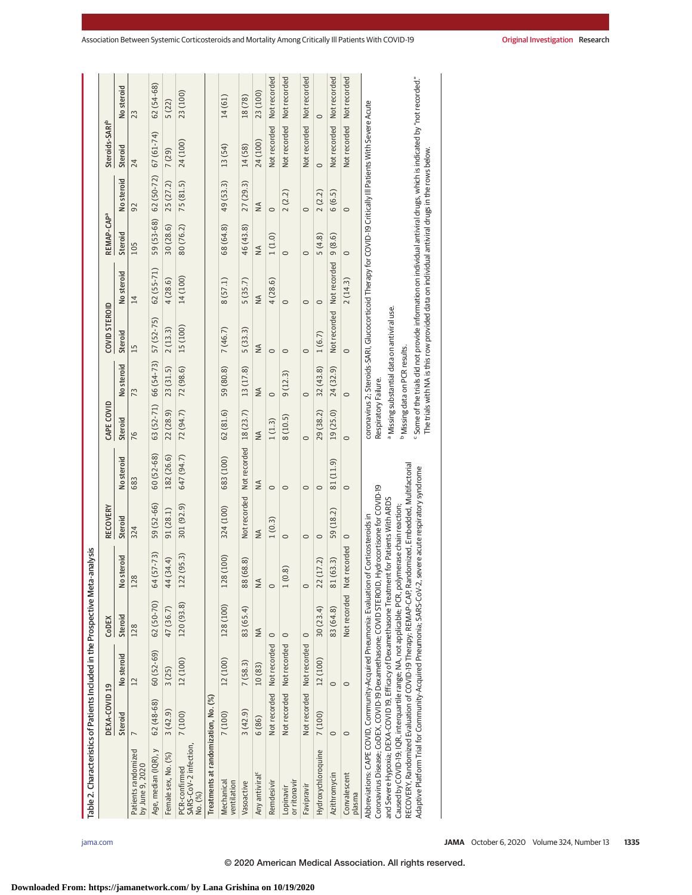|                                                                                |                            | No steroid |                                        | 62 (54-68)           | 5(22)               | 23 (100)                                          |                                      | 14(61)                    | 18(78)                    | 23 (100)                   | Not recorded | Not recorded              | Not recorded |                    | Not recorded | Not recorded              |                                                                                                                                                                                                                                                                                                                                                                                                                                                                                                                                                                    |
|--------------------------------------------------------------------------------|----------------------------|------------|----------------------------------------|----------------------|---------------------|---------------------------------------------------|--------------------------------------|---------------------------|---------------------------|----------------------------|--------------|---------------------------|--------------|--------------------|--------------|---------------------------|--------------------------------------------------------------------------------------------------------------------------------------------------------------------------------------------------------------------------------------------------------------------------------------------------------------------------------------------------------------------------------------------------------------------------------------------------------------------------------------------------------------------------------------------------------------------|
|                                                                                |                            |            | 23                                     |                      |                     |                                                   |                                      |                           |                           |                            |              |                           |              | $\circ$            |              |                           |                                                                                                                                                                                                                                                                                                                                                                                                                                                                                                                                                                    |
|                                                                                | Steroids-SARI <sup>b</sup> | Steroid    | 24                                     | $67(61 - 74)$        | 7(29)               | 24 (100)                                          |                                      | 13(54)                    | 14(58)                    | 24 (100)                   | Not recorded | Not recorded              | Not recorded | $\circ$            | Not recorded | Not recorded              |                                                                                                                                                                                                                                                                                                                                                                                                                                                                                                                                                                    |
|                                                                                |                            | No steroid | 92                                     | $62(50 - 72)$        | 25 (27.2)           | 75 (81.5)                                         |                                      | 49 (53.3)                 | 27 (29.3)                 | $\frac{4}{2}$              | $\circ$      | 2(2.2)                    | $\circ$      | 2(2.2)             | 6(6.5)       | $\circ$                   |                                                                                                                                                                                                                                                                                                                                                                                                                                                                                                                                                                    |
|                                                                                | REMAP-CAP <sup>a</sup>     | Steroid    | 105                                    | 59 (53-68)           | 30 (28.6)           | 80 (76.2)                                         |                                      | 68 (64.8)                 | 46 (43.8)                 | $\leq$                     | 1(1.0)       | $\circ$                   | $\circ$      | 5(4.8)             | 9(8.6)       | $\circ$                   |                                                                                                                                                                                                                                                                                                                                                                                                                                                                                                                                                                    |
|                                                                                |                            | No steroid | 14                                     | $62(55 - 71)$        | 4(28.6)             | 14 (100)                                          |                                      | 8(57.1)                   | 5(35.7)                   | $\leq$                     | 4(28.6)      | $\circ$                   | $\circ$      | $\circ$            | Not recorded | 2(14.3)                   | " Some of the trials did not provide information on individual antiviral drugs, which is indicated by "not recorded."<br>coronavirus 2; Steroids-SARI, Glucocorticoid Therapy for COVID-19 Critically III Patients With Severe Acute<br>The trials with NA is this row provided data on individual antiviral drugs in the rows below.                                                                                                                                                                                                                              |
|                                                                                | <b>COVID STEROID</b>       | Steroid    | 15                                     | 57 (52-75)           | 2(13.3)             | 15 (100)                                          |                                      | 7(46.7)                   | 5(33.3)                   | $\leq$                     | $\circ$      | $\circ$                   | $\circ$      | 1(6.7)             | Not recorded | $\circ$                   | <sup>a</sup> Missing substantial data on antiviral use.                                                                                                                                                                                                                                                                                                                                                                                                                                                                                                            |
|                                                                                |                            | No steroid | 73                                     | 66 (54-73)           | 23(31.5)            | 72 (98.6)                                         |                                      | 59 (80.8)                 | 13(17.8)                  | ≸                          | $\circ$      | 9(12.3)                   | $\circ$      | 32(43.8)           | 24 (32.9)    | $\circ$                   | <sup>b</sup> Missing data on PCR results.                                                                                                                                                                                                                                                                                                                                                                                                                                                                                                                          |
|                                                                                | CAPE COVID                 | Steroid    | 76                                     | $63(52 - 71)$        | 22 (28.9)           | 72 (94.7)                                         |                                      | 62(81.6)                  | 18(23.7)                  | ≸                          | 1(1.3)       | 8(10.5)                   | $\circ$      | 29 (38.2)          | 19(25.0)     | $\circ$                   | Respiratory Failure.                                                                                                                                                                                                                                                                                                                                                                                                                                                                                                                                               |
|                                                                                |                            | No steroid | 683                                    | 60 (52-68)           | 182 (26.6)          | 647 (94.7)                                        |                                      | 683 (100)                 | Not recorded Not recorded | ≸                          | $\circ$      | $\circ$                   | $\circ$      | $\circ$            | 81(11.9)     | $\circ$                   |                                                                                                                                                                                                                                                                                                                                                                                                                                                                                                                                                                    |
|                                                                                | RECOVERY                   | Steroid    | 324                                    | 59 (52-66)           | 91(28.1)            | 301 (92.9)                                        |                                      | 324 (100)                 |                           | ≸                          | 1(0.3)       | $\circ$                   | $\circ$      | $\circ$            | 59 (18.2)    | $\circ$                   | Hydrocortisone for COVID-19                                                                                                                                                                                                                                                                                                                                                                                                                                                                                                                                        |
|                                                                                |                            | No steroid | 128                                    | 64 (57-73)           | 44 (34.4)           | 122(95.3)                                         |                                      | 128 (100)                 | 88 (68.8)                 | ≸                          | $\circ$      | (0.8)                     | $\circ$      | 22 (17.2)          | 81(63.3)     |                           | of Corticosteroids in                                                                                                                                                                                                                                                                                                                                                                                                                                                                                                                                              |
|                                                                                | CODEX                      | Steroid    | 128                                    | $62(50 - 70)$        | 47 (36.7)           | 120(93.8)                                         |                                      | 128 (100)                 | 83 (65.4)                 | ≸                          | $\circ$      | $\circ$                   | $\circ$      | 30(23.4)           | 83 (64.8)    | Not recorded Not recorded |                                                                                                                                                                                                                                                                                                                                                                                                                                                                                                                                                                    |
|                                                                                |                            | No steroid | $\overline{12}$                        | $60(52 - 69)$        | 3(25)               | 12 (100)                                          |                                      | 12 (100)                  | 7(58.3)                   | 10(83)                     | Not recorded | Not recorded              | Not recorded | 12 (100)           | $\circ$      | $\circ$                   |                                                                                                                                                                                                                                                                                                                                                                                                                                                                                                                                                                    |
|                                                                                | DEXA-COVID 19              | Steroid    |                                        | $62(48-68)$          | 3(42.9)             | 7 (100)                                           |                                      | 7 (100)                   | 3(42.9)                   | 6(86)                      | Not recorded | Not recorded              | Not recorded | 7 (100)            | $\circ$      | $\circ$                   |                                                                                                                                                                                                                                                                                                                                                                                                                                                                                                                                                                    |
| Table 2. Characteristics of Patients Included in the Prospective Meta-analysis |                            |            | Patients randomized<br>by June 9, 2020 | Age, median (IQR), y | Female sex, No. (%) | SARS-CoV-2 infection,<br>PCR-confirmed<br>No. (%) | Treatments at randomization, No. (%) | Mechanical<br>ventilation | Vasoactive                | Any antiviral <sup>c</sup> | Remdesivir   | or ritonavir<br>Lopinavir | Favipravir   | Hydroxychloroquine | Azithromycin | Convalescent<br>plasma    | RECOVERY, Randomized Evaluation of COVID-19 Therapy; REMAP-CAP, Randomized, Embedded, Multifactorial<br>Adaptive Platform Trial for Community-Acquired Pneumonia: SARS-COV-2, severe acute respiratory syndrome<br>and Severe Hypoxia; DEXA-COVID 19, Efficacy of Dexamethasone Treatment for Patients With ARDS<br>Caused by COVID-19; IQR, interquartile range; NA, not applicable; PCR, polymerase chain reaction;<br>Abbreviations: CAPE COVID, Community-Acquired Pneumonia: Evaluation<br>Coronavirus Disease; CoDEX, COVID-19 Dexamethasone; COVID STEROID, |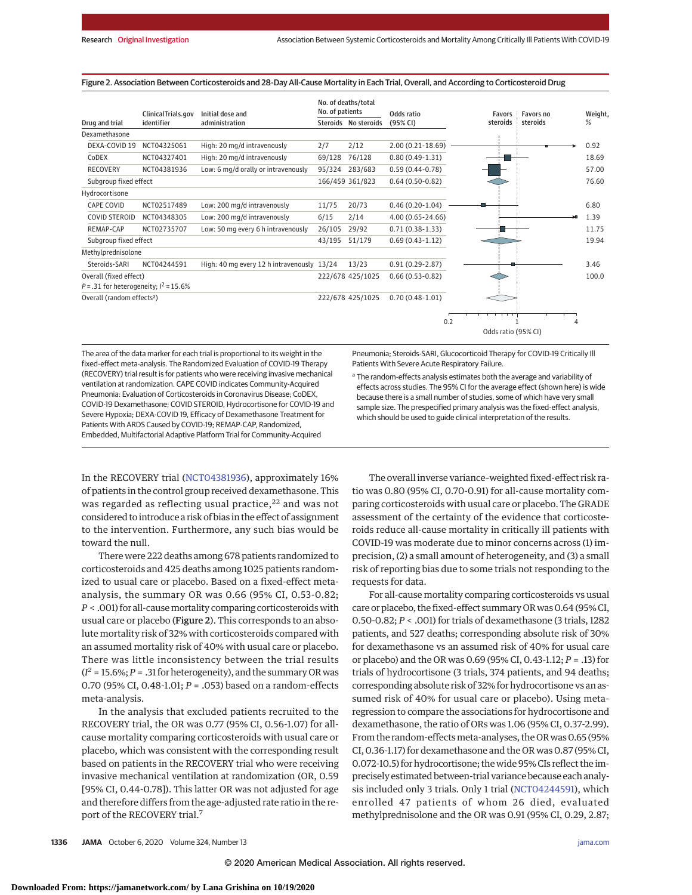#### Figure 2. Association Between Corticosteroids and 28-Day All-Cause Mortality in Each Trial, Overall, and According to Corticosteroid Drug

|                                          | ClinicalTrials.gov | Initial dose and                           | No. of patients | No. of deaths/total  | Odds ratio           | <b>Favors</b>       | Favors no | Weight,    |
|------------------------------------------|--------------------|--------------------------------------------|-----------------|----------------------|----------------------|---------------------|-----------|------------|
| Drug and trial                           | identifier         | administration                             |                 | Steroids No steroids | (95% CI)             | steroids            | steroids  | %          |
| Dexamethasone                            |                    |                                            |                 |                      |                      |                     |           |            |
| DEXA-COVID 19                            | NCT04325061        | High: 20 mg/d intravenously                | 2/7             | 2/12                 | $2.00(0.21 - 18.69)$ |                     |           | 0.92       |
| CoDEX                                    | NCT04327401        | High: 20 mg/d intravenously                | 69/128          | 76/128               | $0.80(0.49-1.31)$    |                     |           | 18.69      |
| <b>RECOVERY</b>                          | NCT04381936        | Low: 6 mg/d orally or intravenously        | 95/324          | 283/683              | $0.59(0.44-0.78)$    |                     |           | 57.00      |
| Subgroup fixed effect                    |                    |                                            |                 | 166/459 361/823      | $0.64(0.50-0.82)$    |                     |           | 76.60      |
| Hydrocortisone                           |                    |                                            |                 |                      |                      |                     |           |            |
| <b>CAPE COVID</b>                        | NCT02517489        | Low: 200 mg/d intravenously                | 11/75           | 20/73                | $0.46(0.20-1.04)$    |                     |           | 6.80       |
| <b>COVID STEROID</b>                     | NCT04348305        | Low: 200 mg/d intravenously                | 6/15            | 2/14                 | $4.00(0.65 - 24.66)$ |                     |           | 1.39<br>ÞШ |
| REMAP-CAP                                | NCT02735707        | Low: 50 mg every 6 h intravenously         | 26/105          | 29/92                | $0.71(0.38-1.33)$    |                     |           | 11.75      |
| Subgroup fixed effect                    |                    |                                            | 43/195          | 51/179               | $0.69(0.43-1.12)$    |                     |           | 19.94      |
| Methylprednisolone                       |                    |                                            |                 |                      |                      |                     |           |            |
| Steroids-SARI                            | NCT04244591        | High: 40 mg every 12 h intravenously 13/24 |                 | 13/23                | $0.91(0.29 - 2.87)$  |                     |           | 3.46       |
| Overall (fixed effect)                   |                    |                                            |                 | 222/678 425/1025     | $0.66(0.53 - 0.82)$  |                     |           | 100.0      |
| P = .31 for heterogeneity; $l^2$ = 15.6% |                    |                                            |                 |                      |                      |                     |           |            |
| Overall (random effects <sup>a</sup> )   |                    |                                            |                 | 222/678 425/1025     | $0.70(0.48-1.01)$    |                     |           |            |
|                                          |                    |                                            |                 |                      |                      | 0.2                 |           |            |
|                                          |                    |                                            |                 |                      |                      | Odds ratio (95% CI) |           |            |

The area of the data marker for each trial is proportional to its weight in the fixed-effect meta-analysis. The Randomized Evaluation of COVID-19 Therapy (RECOVERY) trial result is for patients who were receiving invasive mechanical ventilation at randomization. CAPE COVID indicates Community-Acquired Pneumonia: Evaluation of Corticosteroids in Coronavirus Disease; CoDEX, COVID-19 Dexamethasone; COVID STEROID, Hydrocortisone for COVID-19 and Severe Hypoxia; DEXA-COVID 19, Efficacy of Dexamethasone Treatment for Patients With ARDS Caused by COVID-19; REMAP-CAP, Randomized, Embedded, Multifactorial Adaptive Platform Trial for Community-Acquired

Pneumonia; Steroids-SARI, Glucocorticoid Therapy for COVID-19 Critically Ill Patients With Severe Acute Respiratory Failure.

<sup>a</sup> The random-effects analysis estimates both the average and variability of effects across studies. The 95% CI for the average effect (shown here) is wide because there is a small number of studies, some of which have very small sample size. The prespecified primary analysis was the fixed-effect analysis, which should be used to guide clinical interpretation of the results.

In the RECOVERY trial [\(NCT04381936\)](https://clinicaltrials.gov/ct2/show/NCT04381936?id=NCT04381936&draw=2&rank=1), approximately 16% of patients in the control group received dexamethasone. This was regarded as reflecting usual practice, $22$  and was not considered to introduce a risk of bias in the effect of assignment to the intervention. Furthermore, any such bias would be toward the null.

There were 222 deaths among 678 patients randomized to corticosteroids and 425 deaths among 1025 patients randomized to usual care or placebo. Based on a fixed-effect metaanalysis, the summary OR was 0.66 (95% CI, 0.53-0.82; *P* < .001) for all-causemortality comparing corticosteroids with usual care or placebo (Figure 2). This corresponds to an absolute mortality risk of 32% with corticosteroids compared with an assumed mortality risk of 40% with usual care or placebo. There was little inconsistency between the trial results  $(I^2 = 15.6\%; P = .31$  for heterogeneity), and the summary OR was 0.70 (95% CI, 0.48-1.01; *P* = .053) based on a random-effects meta-analysis.

In the analysis that excluded patients recruited to the RECOVERY trial, the OR was 0.77 (95% CI, 0.56-1.07) for allcause mortality comparing corticosteroids with usual care or placebo, which was consistent with the corresponding result based on patients in the RECOVERY trial who were receiving invasive mechanical ventilation at randomization (OR, 0.59 [95% CI, 0.44-0.78]). This latter OR was not adjusted for age and therefore differs from the age-adjusted rate ratio in the report of the RECOVERY trial.<sup>7</sup>

The overall inverse variance–weighted fixed-effect risk ratio was 0.80 (95% CI, 0.70-0.91) for all-cause mortality comparing corticosteroids with usual care or placebo. The GRADE assessment of the certainty of the evidence that corticosteroids reduce all-cause mortality in critically ill patients with COVID-19 was moderate due to minor concerns across (1) imprecision, (2) a small amount of heterogeneity, and (3) a small risk of reporting bias due to some trials not responding to the requests for data.

For all-cause mortality comparing corticosteroids vs usual care or placebo, the fixed-effect summary OR was 0.64 (95% CI, 0.50-0.82; *P* < .001) for trials of dexamethasone (3 trials, 1282 patients, and 527 deaths; corresponding absolute risk of 30% for dexamethasone vs an assumed risk of 40% for usual care or placebo) and the OR was 0.69 (95% CI, 0.43-1.12; *P* = .13) for trials of hydrocortisone (3 trials, 374 patients, and 94 deaths; corresponding absolute risk of 32% for hydrocortisone vs an assumed risk of 40% for usual care or placebo). Using metaregression to compare the associations for hydrocortisone and dexamethasone, the ratio of ORs was 1.06 (95% CI, 0.37-2.99). From the random-effects meta-analyses, the OR was 0.65 (95%) CI, 0.36-1.17) for dexamethasone and the OR was 0.87 (95% CI, 0.072-10.5) for hydrocortisone; the wide 95% CIs reflect the imprecisely estimated between-trial variance because each analysis included only 3 trials. Only 1 trial [\(NCT04244591\)](https://clinicaltrials.gov/ct2/show/NCT04244591?id=NCT04244591&draw=2&rank=1), which enrolled 47 patients of whom 26 died, evaluated methylprednisolone and the OR was 0.91 (95% CI, 0.29, 2.87;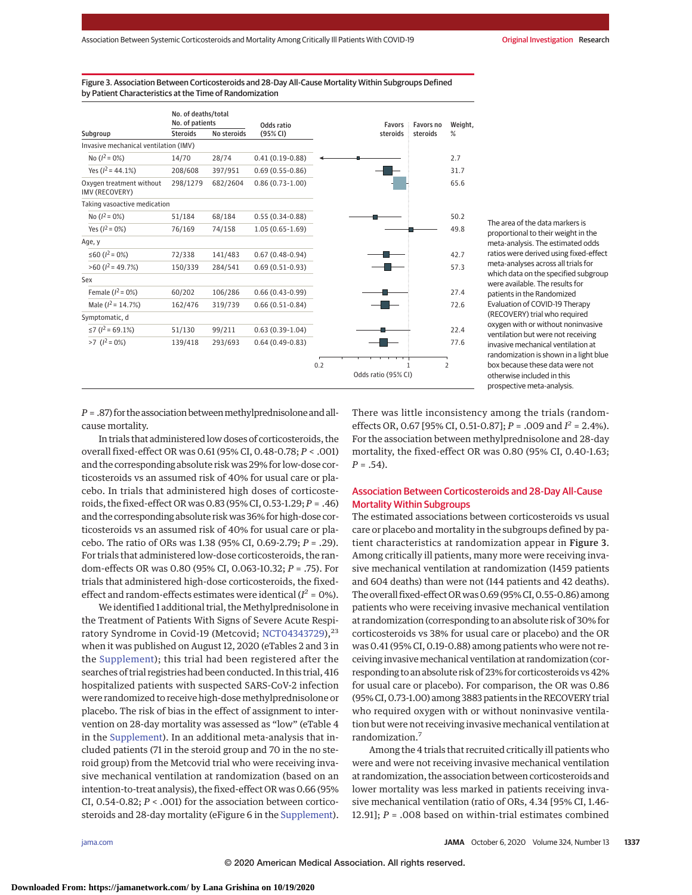|                                            | No. of deaths/total<br>No. of patients |             | Odds ratio          |     | Favors              | Favors no | Weight,        |
|--------------------------------------------|----------------------------------------|-------------|---------------------|-----|---------------------|-----------|----------------|
| Subgroup                                   | <b>Steroids</b>                        | No steroids | (95% CI)            |     | steroids            | steroids  | %              |
| Invasive mechanical ventilation (IMV)      |                                        |             |                     |     |                     |           |                |
| No $(I^2 = 0\%)$                           | 14/70                                  | 28/74       | $0.41(0.19 - 0.88)$ |     |                     |           | 2.7            |
| Yes $(l^2 = 44.1\%)$                       | 208/608                                | 397/951     | $0.69(0.55 - 0.86)$ |     |                     |           | 31.7           |
| Oxygen treatment without<br>IMV (RECOVERY) | 298/1279                               | 682/2604    | $0.86(0.73 - 1.00)$ |     |                     |           | 65.6           |
| Taking vasoactive medication               |                                        |             |                     |     |                     |           |                |
| No $(I^2 = 0\%)$                           | 51/184                                 | 68/184      | $0.55(0.34 - 0.88)$ |     |                     |           | 50.2           |
| Yes ( $I^2 = 0\%$ )                        | 76/169                                 | 74/158      | $1.05(0.65 - 1.69)$ |     |                     |           | 49.8           |
| Age, y                                     |                                        |             |                     |     |                     |           |                |
| ≤60 ( $I^2$ = 0%)                          | 72/338                                 | 141/483     | $0.67(0.48-0.94)$   |     |                     |           | 42.7           |
| $>60 (1^2 = 49.7\%)$                       | 150/339                                | 284/541     | $0.69(0.51-0.93)$   |     |                     |           | 57.3           |
| Sex                                        |                                        |             |                     |     |                     |           |                |
| Female ( $l^2$ = 0%)                       | 60/202                                 | 106/286     | $0.66(0.43 - 0.99)$ |     |                     |           | 27.4           |
| Male ( $l^2$ = 14.7%)                      | 162/476                                | 319/739     | $0.66(0.51-0.84)$   |     |                     |           | 72.6           |
| Symptomatic, d                             |                                        |             |                     |     |                     |           |                |
| $\leq$ 7 ( $I^2$ = 69.1%)                  | 51/130                                 | 99/211      | $0.63(0.39-1.04)$   |     |                     |           | 22.4           |
| $>7$ ( $l^2 = 0\%)$                        | 139/418                                | 293/693     | $0.64(0.49-0.83)$   |     |                     |           | 77.6           |
|                                            |                                        |             |                     | 0.2 |                     | 1         | $\overline{2}$ |
|                                            |                                        |             |                     |     | Odds ratio (95% CI) |           |                |

Figure 3. Association Between Corticosteroids and 28-Day All-Cause Mortality Within Subgroups Defined by Patient Characteristics at the Time of Randomization

> The area of the data markers is proportional to their weight in the meta-analysis. The estimated odds ratios were derived using fixed-effect meta-analyses across all trials for which data on the specified subgroup were available. The results for patients in the Randomized Evaluation of COVID-19 Therapy (RECOVERY) trial who required oxygen with or without noninvasive ventilation but were not receiving invasive mechanical ventilation at randomization is shown in a light blue box because these data were not otherwise included in this prospective meta-analysis.

*P* = .87) for the association between methylprednisolone and allcause mortality.

In trials that administered low doses of corticosteroids, the overall fixed-effect OR was 0.61 (95% CI, 0.48-0.78; *P* < .001) and the corresponding absolute risk was 29% for low-dose corticosteroids vs an assumed risk of 40% for usual care or placebo. In trials that administered high doses of corticosteroids, the fixed-effect OR was 0.83 (95% CI, 0.53-1.29; *P* = .46) and the corresponding absolute risk was 36% for high-dose corticosteroids vs an assumed risk of 40% for usual care or placebo. The ratio of ORs was 1.38 (95% CI, 0.69-2.79; *P* = .29). For trials that administered low-dose corticosteroids, the random-effects OR was 0.80 (95% CI, 0.063-10.32; *P* = .75). For trials that administered high-dose corticosteroids, the fixedeffect and random-effects estimates were identical ( $I^2$  = 0%).

We identified 1 additional trial, the Methylprednisolone in the Treatment of Patients With Signs of Severe Acute Respi-ratory Syndrome in Covid-19 (Metcovid; [NCT04343729\)](https://clinicaltrials.gov/ct2/show/NCT04343729?id=NCT04343729&draw=2&rank=1),<sup>23</sup> when it was published on August 12, 2020 (eTables 2 and 3 in the [Supplement\)](https://jamanetwork.com/journals/jama/fullarticle/10.1001/jama.2020.17023?utm_campaign=articlePDF%26utm_medium=articlePDFlink%26utm_source=articlePDF%26utm_content=jama.2020.17023); this trial had been registered after the searches of trial registries had been conducted. In this trial, 416 hospitalized patients with suspected SARS-CoV-2 infection were randomized to receive high-dose methylprednisolone or placebo. The risk of bias in the effect of assignment to intervention on 28-day mortality was assessed as "low" (eTable 4 in the [Supplement\)](https://jamanetwork.com/journals/jama/fullarticle/10.1001/jama.2020.17023?utm_campaign=articlePDF%26utm_medium=articlePDFlink%26utm_source=articlePDF%26utm_content=jama.2020.17023). In an additional meta-analysis that included patients (71 in the steroid group and 70 in the no steroid group) from the Metcovid trial who were receiving invasive mechanical ventilation at randomization (based on an intention-to-treat analysis), the fixed-effect OR was 0.66 (95% CI, 0.54-0.82; *P* < .001) for the association between corticosteroids and 28-day mortality (eFigure 6 in the [Supplement\)](https://jamanetwork.com/journals/jama/fullarticle/10.1001/jama.2020.17023?utm_campaign=articlePDF%26utm_medium=articlePDFlink%26utm_source=articlePDF%26utm_content=jama.2020.17023).

There was little inconsistency among the trials (randomeffects OR, 0.67 [95% CI, 0.51-0.87]; *P* = .009 and *I <sup>2</sup>* = 2.4%). For the association between methylprednisolone and 28-day mortality, the fixed-effect OR was 0.80 (95% CI, 0.40-1.63;  $P = .54$ ).

## Association Between Corticosteroids and 28-Day All-Cause Mortality Within Subgroups

The estimated associations between corticosteroids vs usual care or placebo and mortality in the subgroups defined by patient characteristics at randomization appear in Figure 3. Among critically ill patients, many more were receiving invasive mechanical ventilation at randomization (1459 patients and 604 deaths) than were not (144 patients and 42 deaths). The overall fixed-effect ORwas 0.69 (95% CI, 0.55-0.86) among patients who were receiving invasive mechanical ventilation at randomization (corresponding to an absolute risk of 30% for corticosteroids vs 38% for usual care or placebo) and the OR was 0.41 (95% CI, 0.19-0.88) among patients who were not receiving invasive mechanical ventilation at randomization (corresponding to an absolute risk of 23% for corticosteroids vs 42% for usual care or placebo). For comparison, the OR was 0.86 (95% CI, 0.73-1.00) among 3883 patients in the RECOVERY trial who required oxygen with or without noninvasive ventilation but were not receiving invasive mechanical ventilation at randomization.7

Among the 4 trials that recruited critically ill patients who were and were not receiving invasive mechanical ventilation at randomization, the association between corticosteroids and lower mortality was less marked in patients receiving invasive mechanical ventilation (ratio of ORs, 4.34 [95% CI, 1.46- 12.91]; *P* = .008 based on within-trial estimates combined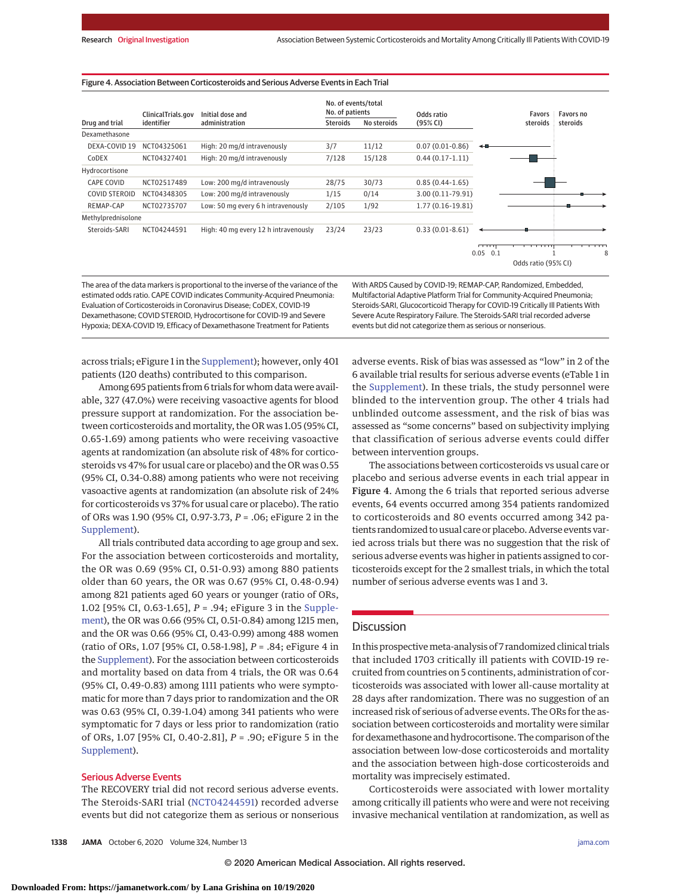| Figure 4. Association Between Corticosteroids and Serious Adverse Events in Each Trial |  |
|----------------------------------------------------------------------------------------|--|
|----------------------------------------------------------------------------------------|--|

|                      | ClinicalTrials.gov | Initial dose and                     | No. of events/total<br>No. of patients |             | Odds ratio         |                      | <b>Favors</b>       | Favors no |
|----------------------|--------------------|--------------------------------------|----------------------------------------|-------------|--------------------|----------------------|---------------------|-----------|
| Drug and trial       | identifier         | administration                       | <b>Steroids</b>                        | No steroids | (95% CI)           |                      | steroids            | steroids  |
| Dexamethasone        |                    |                                      |                                        |             |                    |                      |                     |           |
| DEXA-COVID 19        | NCT04325061        | High: 20 mg/d intravenously          | 3/7                                    | 11/12       | $0.07(0.01-0.86)$  | $\leftarrow$         |                     |           |
| CoDEX                | NCT04327401        | High: 20 mg/d intravenously          | 7/128                                  | 15/128      | $0.44(0.17-1.11)$  |                      |                     |           |
| Hydrocortisone       |                    |                                      |                                        |             |                    |                      |                     |           |
| <b>CAPE COVID</b>    | NCT02517489        | Low: 200 mg/d intravenously          | 28/75                                  | 30/73       | $0.85(0.44-1.65)$  |                      |                     |           |
| <b>COVID STEROID</b> | NCT04348305        | Low: 200 mg/d intravenously          | 1/15                                   | 0/14        | 3.00 (0.11-79.91)  |                      |                     |           |
| REMAP-CAP            | NCT02735707        | Low: 50 mg every 6 h intravenously   | 2/105                                  | 1/92        | $1.77(0.16-19.81)$ |                      |                     |           |
| Methylprednisolone   |                    |                                      |                                        |             |                    |                      |                     |           |
| Steroids-SARI        | NCT04244591        | High: 40 mg every 12 h intravenously | 23/24                                  | 23/23       | $0.33(0.01-8.61)$  |                      |                     |           |
|                      |                    |                                      |                                        |             |                    | $\Box$<br>$0.05$ 0.1 | Odds ratio (95% CI) | 8         |

The area of the data markers is proportional to the inverse of the variance of the estimated odds ratio. CAPE COVID indicates Community-Acquired Pneumonia: Evaluation of Corticosteroids in Coronavirus Disease; CoDEX, COVID-19 Dexamethasone; COVID STEROID, Hydrocortisone for COVID-19 and Severe Hypoxia; DEXA-COVID 19, Efficacy of Dexamethasone Treatment for Patients

With ARDS Caused by COVID-19; REMAP-CAP, Randomized, Embedded, Multifactorial Adaptive Platform Trial for Community-Acquired Pneumonia; Steroids-SARI, Glucocorticoid Therapy for COVID-19 Critically Ill Patients With Severe Acute Respiratory Failure. The Steroids-SARI trial recorded adverse events but did not categorize them as serious or nonserious.

across trials; eFigure 1 in the [Supplement\)](https://jamanetwork.com/journals/jama/fullarticle/10.1001/jama.2020.17023?utm_campaign=articlePDF%26utm_medium=articlePDFlink%26utm_source=articlePDF%26utm_content=jama.2020.17023); however, only 401 patients (120 deaths) contributed to this comparison.

Among 695 patients from 6 trials for whom data were available, 327 (47.0%) were receiving vasoactive agents for blood pressure support at randomization. For the association between corticosteroids and mortality, the OR was 1.05 (95% CI, 0.65-1.69) among patients who were receiving vasoactive agents at randomization (an absolute risk of 48% for corticosteroids vs 47% for usual care or placebo) and the OR was 0.55 (95% CI, 0.34-0.88) among patients who were not receiving vasoactive agents at randomization (an absolute risk of 24% for corticosteroids vs 37% for usual care or placebo). The ratio of ORs was 1.90 (95% CI, 0.97-3.73, *P* = .06; eFigure 2 in the [Supplement\)](https://jamanetwork.com/journals/jama/fullarticle/10.1001/jama.2020.17023?utm_campaign=articlePDF%26utm_medium=articlePDFlink%26utm_source=articlePDF%26utm_content=jama.2020.17023).

All trials contributed data according to age group and sex. For the association between corticosteroids and mortality, the OR was 0.69 (95% CI, 0.51-0.93) among 880 patients older than 60 years, the OR was 0.67 (95% CI, 0.48-0.94) among 821 patients aged 60 years or younger (ratio of ORs, 1.02 [95% CI, 0.63-1.65], *P* = .94; eFigure 3 in the [Supple](https://jamanetwork.com/journals/jama/fullarticle/10.1001/jama.2020.17023?utm_campaign=articlePDF%26utm_medium=articlePDFlink%26utm_source=articlePDF%26utm_content=jama.2020.17023)[ment\)](https://jamanetwork.com/journals/jama/fullarticle/10.1001/jama.2020.17023?utm_campaign=articlePDF%26utm_medium=articlePDFlink%26utm_source=articlePDF%26utm_content=jama.2020.17023), the OR was 0.66 (95% CI, 0.51-0.84) among 1215 men, and the OR was 0.66 (95% CI, 0.43-0.99) among 488 women (ratio of ORs, 1.07 [95% CI, 0.58-1.98], *P* = .84; eFigure 4 in the [Supplement\)](https://jamanetwork.com/journals/jama/fullarticle/10.1001/jama.2020.17023?utm_campaign=articlePDF%26utm_medium=articlePDFlink%26utm_source=articlePDF%26utm_content=jama.2020.17023). For the association between corticosteroids and mortality based on data from 4 trials, the OR was 0.64 (95% CI, 0.49-0.83) among 1111 patients who were symptomatic for more than 7 days prior to randomization and the OR was 0.63 (95% CI, 0.39-1.04) among 341 patients who were symptomatic for 7 days or less prior to randomization (ratio of ORs, 1.07 [95% CI, 0.40-2.81], *P* = .90; eFigure 5 in the [Supplement\)](https://jamanetwork.com/journals/jama/fullarticle/10.1001/jama.2020.17023?utm_campaign=articlePDF%26utm_medium=articlePDFlink%26utm_source=articlePDF%26utm_content=jama.2020.17023).

### Serious Adverse Events

The RECOVERY trial did not record serious adverse events. The Steroids-SARI trial [\(NCT04244591\)](https://clinicaltrials.gov/ct2/show/NCT04244591?id=NCT04244591&draw=2&rank=1) recorded adverse events but did not categorize them as serious or nonserious

adverse events. Risk of bias was assessed as "low" in 2 of the 6 available trial results for serious adverse events (eTable 1 in the [Supplement\)](https://jamanetwork.com/journals/jama/fullarticle/10.1001/jama.2020.17023?utm_campaign=articlePDF%26utm_medium=articlePDFlink%26utm_source=articlePDF%26utm_content=jama.2020.17023). In these trials, the study personnel were blinded to the intervention group. The other 4 trials had unblinded outcome assessment, and the risk of bias was assessed as "some concerns" based on subjectivity implying that classification of serious adverse events could differ between intervention groups.

The associations between corticosteroids vs usual care or placebo and serious adverse events in each trial appear in Figure 4. Among the 6 trials that reported serious adverse events, 64 events occurred among 354 patients randomized to corticosteroids and 80 events occurred among 342 patients randomized to usual care or placebo. Adverse events varied across trials but there was no suggestion that the risk of serious adverse events was higher in patients assigned to corticosteroids except for the 2 smallest trials, in which the total number of serious adverse events was 1 and 3.

# Discussion

In this prospectivemeta-analysis of 7 randomized clinical trials that included 1703 critically ill patients with COVID-19 recruited from countries on 5 continents, administration of corticosteroids was associated with lower all-cause mortality at 28 days after randomization. There was no suggestion of an increased risk of serious of adverse events. The ORs for the association between corticosteroids and mortality were similar for dexamethasone and hydrocortisone. The comparison of the association between low-dose corticosteroids and mortality and the association between high-dose corticosteroids and mortality was imprecisely estimated.

Corticosteroids were associated with lower mortality among critically ill patients who were and were not receiving invasive mechanical ventilation at randomization, as well as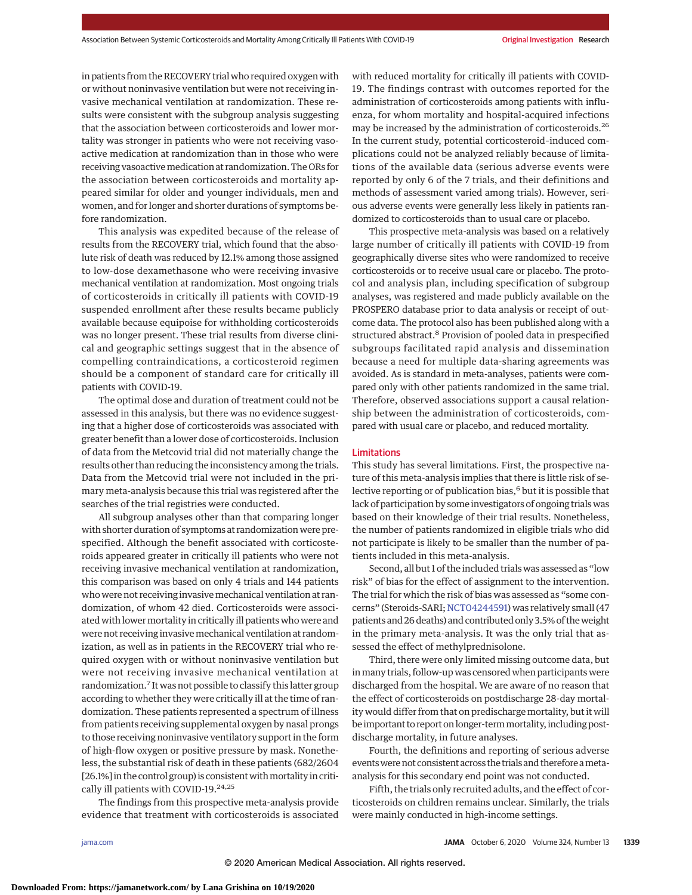in patients from the RECOVERY trial who required oxygen with or without noninvasive ventilation but were not receiving invasive mechanical ventilation at randomization. These results were consistent with the subgroup analysis suggesting that the association between corticosteroids and lower mortality was stronger in patients who were not receiving vasoactive medication at randomization than in those who were receiving vasoactive medication at randomization. The ORs for the association between corticosteroids and mortality appeared similar for older and younger individuals, men and women, and for longer and shorter durations of symptoms before randomization.

This analysis was expedited because of the release of results from the RECOVERY trial, which found that the absolute risk of death was reduced by 12.1% among those assigned to low-dose dexamethasone who were receiving invasive mechanical ventilation at randomization. Most ongoing trials of corticosteroids in critically ill patients with COVID-19 suspended enrollment after these results became publicly available because equipoise for withholding corticosteroids was no longer present. These trial results from diverse clinical and geographic settings suggest that in the absence of compelling contraindications, a corticosteroid regimen should be a component of standard care for critically ill patients with COVID-19.

The optimal dose and duration of treatment could not be assessed in this analysis, but there was no evidence suggesting that a higher dose of corticosteroids was associated with greater benefit than a lower dose of corticosteroids. Inclusion of data from the Metcovid trial did not materially change the results other than reducing the inconsistency among the trials. Data from the Metcovid trial were not included in the primary meta-analysis because this trial was registered after the searches of the trial registries were conducted.

All subgroup analyses other than that comparing longer with shorter duration of symptoms at randomization were prespecified. Although the benefit associated with corticosteroids appeared greater in critically ill patients who were not receiving invasive mechanical ventilation at randomization, this comparison was based on only 4 trials and 144 patients who were not receiving invasive mechanical ventilation at randomization, of whom 42 died. Corticosteroids were associated with lower mortality in critically ill patients who were and were not receiving invasive mechanical ventilation at randomization, as well as in patients in the RECOVERY trial who required oxygen with or without noninvasive ventilation but were not receiving invasive mechanical ventilation at randomization.<sup>7</sup> It was not possible to classify this latter group according to whether they were critically ill at the time of randomization. These patients represented a spectrum of illness from patients receiving supplemental oxygen by nasal prongs to those receiving noninvasive ventilatory support in the form of high-flow oxygen or positive pressure by mask. Nonetheless, the substantial risk of death in these patients (682/2604 [26.1%] in the control group) is consistent with mortality in critically ill patients with COVID-19.<sup>24,25</sup>

The findings from this prospective meta-analysis provide evidence that treatment with corticosteroids is associated with reduced mortality for critically ill patients with COVID-19. The findings contrast with outcomes reported for the administration of corticosteroids among patients with influenza, for whom mortality and hospital-acquired infections may be increased by the administration of corticosteroids.<sup>26</sup> In the current study, potential corticosteroid–induced complications could not be analyzed reliably because of limitations of the available data (serious adverse events were reported by only 6 of the 7 trials, and their definitions and methods of assessment varied among trials). However, serious adverse events were generally less likely in patients randomized to corticosteroids than to usual care or placebo.

This prospective meta-analysis was based on a relatively large number of critically ill patients with COVID-19 from geographically diverse sites who were randomized to receive corticosteroids or to receive usual care or placebo. The protocol and analysis plan, including specification of subgroup analyses, was registered and made publicly available on the PROSPERO database prior to data analysis or receipt of outcome data. The protocol also has been published along with a structured abstract.<sup>8</sup> Provision of pooled data in prespecified subgroups facilitated rapid analysis and dissemination because a need for multiple data-sharing agreements was avoided. As is standard in meta-analyses, patients were compared only with other patients randomized in the same trial. Therefore, observed associations support a causal relationship between the administration of corticosteroids, compared with usual care or placebo, and reduced mortality.

#### Limitations

This study has several limitations. First, the prospective nature of this meta-analysis implies that there is little risk of selective reporting or of publication bias, $6$  but it is possible that lack of participation by some investigators of ongoing trials was based on their knowledge of their trial results. Nonetheless, the number of patients randomized in eligible trials who did not participate is likely to be smaller than the number of patients included in this meta-analysis.

Second, all but 1 of the included trials was assessed as "low risk" of bias for the effect of assignment to the intervention. The trial for which the risk of bias was assessed as "some concerns" (Steroids-SARI; [NCT04244591\)](https://clinicaltrials.gov/ct2/show/NCT04244591?id=NCT04244591&draw=2&rank=1) was relatively small (47 patients and 26 deaths) and contributed only 3.5% of theweight in the primary meta-analysis. It was the only trial that assessed the effect of methylprednisolone.

Third, there were only limited missing outcome data, but inmany trials, follow-up was censored when participants were discharged from the hospital. We are aware of no reason that the effect of corticosteroids on postdischarge 28-day mortality would differ from that on predischarge mortality, but it will be important to report on longer-termmortality, including postdischarge mortality, in future analyses.

Fourth, the definitions and reporting of serious adverse eventswerenot consistent across the trials and therefore ametaanalysis for this secondary end point was not conducted.

Fifth, the trials only recruited adults, and the effect of corticosteroids on children remains unclear. Similarly, the trials were mainly conducted in high-income settings.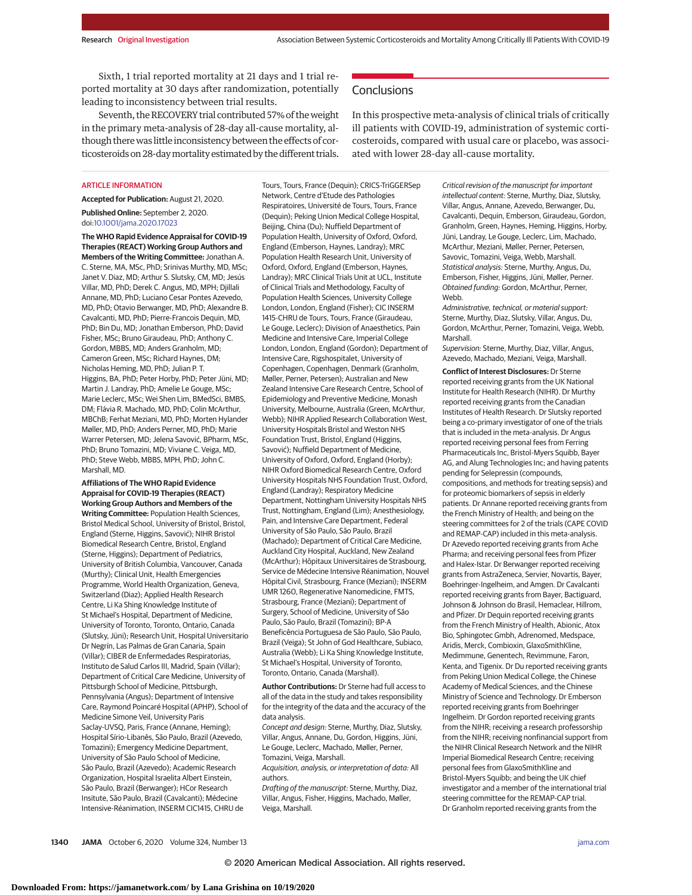Sixth, 1 trial reported mortality at 21 days and 1 trial reported mortality at 30 days after randomization, potentially leading to inconsistency between trial results.

## Seventh, the RECOVERY trial contributed 57% of the weight in the primary meta-analysis of 28-day all-cause mortality, although there was little inconsistency between the effects of corticosteroids on 28-daymortality estimated by the different trials.

#### ARTICLE INFORMATION

**Accepted for Publication:** August 21, 2020. **Published Online:** September 2, 2020. doi[:10.1001/jama.2020.17023](https://jamanetwork.com/journals/jama/fullarticle/10.1001/jama.2020.17023?utm_campaign=articlePDF%26utm_medium=articlePDFlink%26utm_source=articlePDF%26utm_content=jama.2020.17023)

**The WHO Rapid Evidence Appraisal for COVID-19 Therapies (REACT) Working Group Authors and Members of the Writing Committee:** Jonathan A. C. Sterne, MA, MSc, PhD; Srinivas Murthy, MD, MSc; Janet V. Diaz, MD; Arthur S. Slutsky, CM, MD; Jesús Villar, MD, PhD; Derek C. Angus, MD, MPH; Djillali Annane, MD, PhD; Luciano Cesar Pontes Azevedo, MD, PhD; Otavio Berwanger, MD, PhD; Alexandre B. Cavalcanti, MD, PhD; Pierre-Francois Dequin, MD, PhD; Bin Du, MD; Jonathan Emberson, PhD; David Fisher, MSc; Bruno Giraudeau, PhD; Anthony C. Gordon, MBBS, MD; Anders Granholm, MD; Cameron Green, MSc; Richard Haynes, DM; Nicholas Heming, MD, PhD; Julian P. T. Higgins, BA, PhD; Peter Horby, PhD; Peter Jüni, MD; Martin J. Landray, PhD; Amelie Le Gouge, MSc; Marie Leclerc, MSc; Wei Shen Lim, BMedSci, BMBS, DM; Flávia R. Machado, MD, PhD; Colin McArthur, MBChB; Ferhat Meziani, MD, PhD; Morten Hylander Møller, MD, PhD; Anders Perner, MD, PhD; Marie Warrer Petersen, MD; Jelena Savović, BPharm, MSc, PhD; Bruno Tomazini, MD; Viviane C. Veiga, MD, PhD; Steve Webb, MBBS, MPH, PhD; John C. Marshall, MD.

## **Affiliations of The WHO Rapid Evidence Appraisal for COVID-19 Therapies (REACT) Working Group Authors and Members of the**

**Writing Committee:** Population Health Sciences, Bristol Medical School, University of Bristol, Bristol, England (Sterne, Higgins, Savović); NIHR Bristol Biomedical Research Centre, Bristol, England (Sterne, Higgins); Department of Pediatrics, University of British Columbia, Vancouver, Canada (Murthy); Clinical Unit, Health Emergencies Programme, World Health Organization, Geneva, Switzerland (Diaz); Applied Health Research Centre, Li Ka Shing Knowledge Institute of St Michael's Hospital, Department of Medicine, University of Toronto, Toronto, Ontario, Canada (Slutsky, Jüni); Research Unit, Hospital Universitario Dr Negrín, Las Palmas de Gran Canaria, Spain (Villar); CIBER de Enfermedades Respiratorias, Instituto de Salud Carlos III, Madrid, Spain (Villar); Department of Critical Care Medicine, University of Pittsburgh School of Medicine, Pittsburgh, Pennsylvania (Angus); Department of Intensive Care, Raymond Poincaré Hospital (APHP), School of Medicine Simone Veil, University Paris Saclay-UVSQ, Paris, France (Annane, Heming); Hospital Sírio-Libanês, São Paulo, Brazil (Azevedo, Tomazini); Emergency Medicine Department, University of São Paulo School of Medicine, São Paulo, Brazil (Azevedo); Academic Research Organization, Hospital Israelita Albert Einstein, São Paulo, Brazil (Berwanger); HCor Research Insitute, São Paulo, Brazil (Cavalcanti); Médecine Intensive-Réanimation, INSERM CIC1415, CHRU de

Tours, Tours, France (Dequin); CRICS-TriGGERSep Network, Centre d'Etude des Pathologies Respiratoires, Université de Tours, Tours, France (Dequin); Peking Union Medical College Hospital, Beijing, China (Du); Nuffield Department of Population Health, University of Oxford, Oxford, England (Emberson, Haynes, Landray); MRC Population Health Research Unit, University of Oxford, Oxford, England (Emberson, Haynes, Landray); MRC Clinical Trials Unit at UCL, Institute of Clinical Trials and Methodology, Faculty of Population Health Sciences, University College London, London, England (Fisher); CIC INSERM 1415-CHRU de Tours, Tours, France (Giraudeau, Le Gouge, Leclerc); Division of Anaesthetics, Pain Medicine and Intensive Care, Imperial College London, London, England (Gordon); Department of Intensive Care, Rigshospitalet, University of Copenhagen, Copenhagen, Denmark (Granholm, Møller, Perner, Petersen); Australian and New Zealand Intensive Care Research Centre, School of Epidemiology and Preventive Medicine, Monash University, Melbourne, Australia (Green, McArthur, Webb); NIHR Applied Research Collaboration West, University Hospitals Bristol and Weston NHS Foundation Trust, Bristol, England (Higgins, Savović); Nuffield Department of Medicine, University of Oxford, Oxford, England (Horby); NIHR Oxford Biomedical Research Centre, Oxford University Hospitals NHS Foundation Trust, Oxford, England (Landray); Respiratory Medicine Department, Nottingham University Hospitals NHS Trust, Nottingham, England (Lim); Anesthesiology, Pain, and Intensive Care Department, Federal University of São Paulo, São Paulo, Brazil (Machado); Department of Critical Care Medicine, Auckland City Hospital, Auckland, New Zealand (McArthur); Hôpitaux Universitaires de Strasbourg, Service de Médecine Intensive Réanimation, Nouvel Hôpital Civil, Strasbourg, France (Meziani); INSERM UMR 1260, Regenerative Nanomedicine, FMTS, Strasbourg, France (Meziani); Department of Surgery, School of Medicine, University of São Paulo, São Paulo, Brazil (Tomazini); BP-A Beneficência Portuguesa de São Paulo, São Paulo, Brazil (Veiga); St John of God Healthcare, Subiaco, Australia (Webb); Li Ka Shing Knowledge Institute, St Michael's Hospital, University of Toronto, Toronto, Ontario, Canada (Marshall).

**Author Contributions:** Dr Sterne had full access to all of the data in the study and takes responsibility for the integrity of the data and the accuracy of the data analysis.

Concept and design: Sterne, Murthy, Diaz, Slutsky, Villar, Angus, Annane, Du, Gordon, Higgins, Jüni, Le Gouge, Leclerc, Machado, Møller, Perner, Tomazini, Veiga, Marshall.

Acquisition, analysis, or interpretation of data: All authors.

Drafting of the manuscript: Sterne, Murthy, Diaz, Villar, Angus, Fisher, Higgins, Machado, Møller, Veiga, Marshall.

In this prospective meta-analysis of clinical trials of critically ill patients with COVID-19, administration of systemic corticosteroids, compared with usual care or placebo, was associated with lower 28-day all-cause mortality.

> Critical revision of the manuscript for important intellectual content: Sterne, Murthy, Diaz, Slutsky, Villar, Angus, Annane, Azevedo, Berwanger, Du, Cavalcanti, Dequin, Emberson, Giraudeau, Gordon, Granholm, Green, Haynes, Heming, Higgins, Horby, Jüni, Landray, Le Gouge, Leclerc, Lim, Machado, McArthur, Meziani, Møller, Perner, Petersen, Savovic, Tomazini, Veiga, Webb, Marshall. Statistical analysis: Sterne, Murthy, Angus, Du, Emberson, Fisher, Higgins, Jüni, Møller, Perner. Obtained funding: Gordon, McArthur, Perner, Webb.

Administrative, technical, or material support: Sterne, Murthy, Diaz, Slutsky, Villar, Angus, Du, Gordon, McArthur, Perner, Tomazini, Veiga, Webb, Marshall.

Supervision: Sterne, Murthy, Diaz, Villar, Angus, Azevedo, Machado, Meziani, Veiga, Marshall.

**Conflict of Interest Disclosures:** Dr Sterne reported receiving grants from the UK National Institute for Health Research (NIHR). Dr Murthy reported receiving grants from the Canadian Institutes of Health Research. Dr Slutsky reported being a co-primary investigator of one of the trials that is included in the meta-analysis. Dr Angus reported receiving personal fees from Ferring Pharmaceuticals Inc, Bristol-Myers Squibb, Bayer AG, and Alung Technologies Inc; and having patents pending for Selepressin (compounds, compositions, and methods for treating sepsis) and for proteomic biomarkers of sepsis in elderly patients. Dr Annane reported receiving grants from the French Ministry of Health; and being on the steering committees for 2 of the trials (CAPE COVID and REMAP-CAP) included in this meta-analysis. Dr Azevedo reported receiving grants from Ache Pharma; and receiving personal fees from Pfizer and Halex-Istar. Dr Berwanger reported receiving grants from AstraZeneca, Servier, Novartis, Bayer, Boehringer-Ingelheim, and Amgen. Dr Cavalcanti reported receiving grants from Bayer, Bactiguard, Johnson & Johnson do Brasil, Hemaclear, Hillrom, and Pfizer. Dr Dequin reported receiving grants from the French Ministry of Health, Abionic, Atox Bio, Sphingotec Gmbh, Adrenomed, Medspace, Aridis, Merck, Combioxin, GlaxoSmithKline, Medimmune, Genentech, Revimmune, Faron, Kenta, and Tigenix. Dr Du reported receiving grants from Peking Union Medical College, the Chinese Academy of Medical Sciences, and the Chinese Ministry of Science and Technology. Dr Emberson reported receiving grants from Boehringer Ingelheim. Dr Gordon reported receiving grants from the NIHR; receiving a research professorship from the NIHR; receiving nonfinancial support from the NIHR Clinical Research Network and the NIHR Imperial Biomedical Research Centre; receiving personal fees from GlaxoSmithKline and Bristol-Myers Squibb; and being the UK chief investigator and a member of the international trial steering committee for the REMAP-CAP trial. Dr Granholm reported receiving grants from the